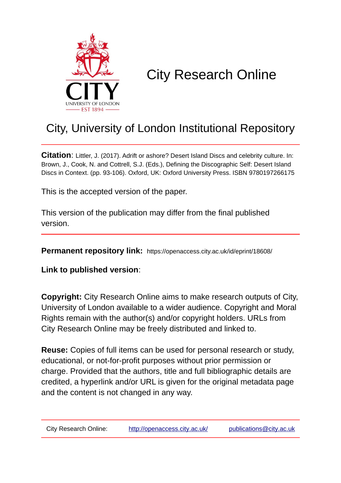

# City Research Online

# City, University of London Institutional Repository

**Citation**: Littler, J. (2017). Adrift or ashore? Desert Island Discs and celebrity culture. In: Brown, J., Cook, N. and Cottrell, S.J. (Eds.), Defining the Discographic Self: Desert Island Discs in Context. (pp. 93-106). Oxford, UK: Oxford University Press. ISBN 9780197266175

This is the accepted version of the paper.

This version of the publication may differ from the final published version.

**Permanent repository link:** https://openaccess.city.ac.uk/id/eprint/18608/

**Link to published version**:

**Copyright:** City Research Online aims to make research outputs of City, University of London available to a wider audience. Copyright and Moral Rights remain with the author(s) and/or copyright holders. URLs from City Research Online may be freely distributed and linked to.

**Reuse:** Copies of full items can be used for personal research or study, educational, or not-for-profit purposes without prior permission or charge. Provided that the authors, title and full bibliographic details are credited, a hyperlink and/or URL is given for the original metadata page and the content is not changed in any way.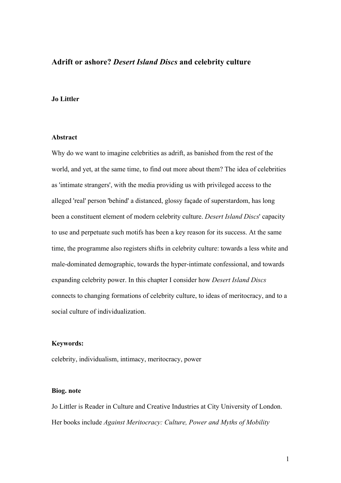# **Adrift or ashore?** *Desert Island Discs* **and celebrity culture**

# **Jo Littler**

# **Abstract**

Why do we want to imagine celebrities as adrift, as banished from the rest of the world, and yet, at the same time, to find out more about them? The idea of celebrities as 'intimate strangers', with the media providing us with privileged access to the alleged 'real' person 'behind' a distanced, glossy façade of superstardom, has long been a constituent element of modern celebrity culture. *Desert Island Discs*' capacity to use and perpetuate such motifs has been a key reason for its success. At the same time, the programme also registers shifts in celebrity culture: towards a less white and male-dominated demographic, towards the hyper-intimate confessional, and towards expanding celebrity power. In this chapter I consider how *Desert Island Discs* connects to changing formations of celebrity culture, to ideas of meritocracy, and to a social culture of individualization.

#### **Keywords:**

celebrity, individualism, intimacy, meritocracy, power

#### **Biog. note**

Jo Littler is Reader in Culture and Creative Industries at City University of London. Her books include *Against Meritocracy: Culture, Power and Myths of Mobility*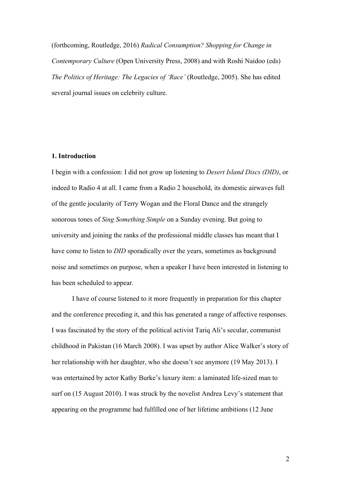(forthcoming, Routledge, 2016) *Radical Consumption? Shopping for Change in Contemporary Culture* (Open University Press, 2008) and with Roshi Naidoo (eds) *The Politics of Heritage: The Legacies of 'Race'* (Routledge, 2005). She has edited several journal issues on celebrity culture.

#### **1. Introduction**

I begin with a confession: I did not grow up listening to *Desert Island Discs (DID)*, or indeed to Radio 4 at all. I came from a Radio 2 household, its domestic airwaves full of the gentle jocularity of Terry Wogan and the Floral Dance and the strangely sonorous tones of *Sing Something Simple* on a Sunday evening. But going to university and joining the ranks of the professional middle classes has meant that I have come to listen to *DID* sporadically over the years, sometimes as background noise and sometimes on purpose, when a speaker I have been interested in listening to has been scheduled to appear.

I have of course listened to it more frequently in preparation for this chapter and the conference preceding it, and this has generated a range of affective responses. I was fascinated by the story of the political activist Tariq Ali's secular, communist childhood in Pakistan (16 March 2008). I was upset by author Alice Walker's story of her relationship with her daughter, who she doesn't see anymore (19 May 2013). I was entertained by actor Kathy Burke's luxury item: a laminated life-sized man to surf on (15 August 2010). I was struck by the novelist Andrea Levy's statement that appearing on the programme had fulfilled one of her lifetime ambitions (12 June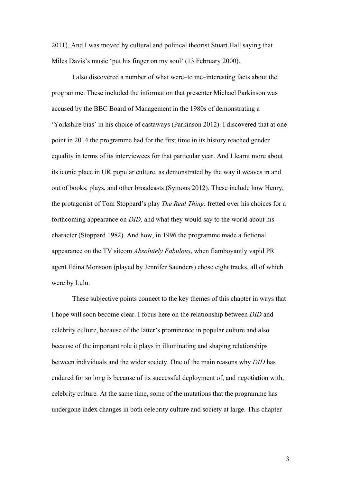2011). And I was moved by cultural and political theorist Stuart Hall saying that Miles Davis's music 'put his finger on my soul' (13 February 2000).

I also discovered a number of what were–to me–interesting facts about the programme. These included the information that presenter Michael Parkinson was accused by the BBC Board of Management in the 1980s of demonstrating a 'Yorkshire bias' in his choice of castaways (Parkinson 2012). I discovered that at one point in 2014 the programme had for the first time in its history reached gender equality in terms of its interviewees for that particular year. And I learnt more about its iconic place in UK popular culture, as demonstrated by the way it weaves in and out of books, plays, and other broadcasts (Symons 2012). These include how Henry, the protagonist of Tom Stoppard's play *The Real Thing*, fretted over his choices for a forthcoming appearance on *DID,* and what they would say to the world about his character (Stoppard 1982). And how, in 1996 the programme made a fictional appearance on the TV sitcom *Absolutely Fabulous*, when flamboyantly vapid PR agent Edina Monsoon (played by Jennifer Saunders) chose eight tracks, all of which were by Lulu.

These subjective points connect to the key themes of this chapter in ways that I hope will soon become clear. I focus here on the relationship between *DID* and celebrity culture, because of the latter's prominence in popular culture and also because of the important role it plays in illuminating and shaping relationships between individuals and the wider society. One of the main reasons why *DID* has endured for so long is because of its successful deployment of, and negotiation with, celebrity culture*.* At the same time, some of the mutations that the programme has undergone index changes in both celebrity culture and society at large. This chapter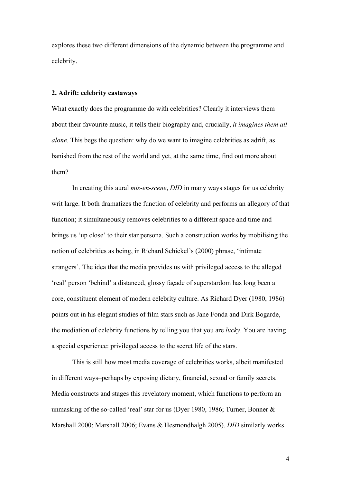explores these two different dimensions of the dynamic between the programme and celebrity.

#### **2. Adrift: celebrity castaways**

What exactly does the programme do with celebrities? Clearly it interviews them about their favourite music, it tells their biography and, crucially, *it imagines them all alone*. This begs the question: why do we want to imagine celebrities as adrift, as banished from the rest of the world and yet, at the same time, find out more about them?

In creating this aural *mis-en-scene*, *DID* in many ways stages for us celebrity writ large. It both dramatizes the function of celebrity and performs an allegory of that function; it simultaneously removes celebrities to a different space and time and brings us 'up close' to their star persona. Such a construction works by mobilising the notion of celebrities as being, in Richard Schickel's (2000) phrase, 'intimate strangers'. The idea that the media provides us with privileged access to the alleged 'real' person 'behind' a distanced, glossy façade of superstardom has long been a core, constituent element of modern celebrity culture. As Richard Dyer (1980, 1986) points out in his elegant studies of film stars such as Jane Fonda and Dirk Bogarde, the mediation of celebrity functions by telling you that you are *lucky*. You are having a special experience: privileged access to the secret life of the stars.

This is still how most media coverage of celebrities works, albeit manifested in different ways–perhaps by exposing dietary, financial, sexual or family secrets. Media constructs and stages this revelatory moment, which functions to perform an unmasking of the so-called 'real' star for us (Dyer 1980, 1986; Turner, Bonner & Marshall 2000; Marshall 2006; Evans & Hesmondhalgh 2005). *DID* similarly works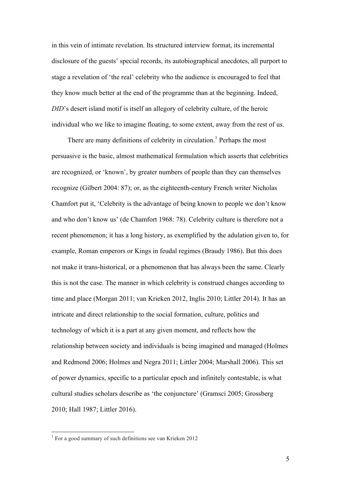in this vein of intimate revelation. Its structured interview format, its incremental disclosure of the guests' special records, its autobiographical anecdotes, all purport to stage a revelation of 'the real' celebrity who the audience is encouraged to feel that they know much better at the end of the programme than at the beginning. Indeed, *DID*'s desert island motif is itself an allegory of celebrity culture, of the heroic individual who we like to imagine floating, to some extent, away from the rest of us.

There are many definitions of celebrity in circulation.<sup>1</sup> Perhaps the most persuasive is the basic, almost mathematical formulation which asserts that celebrities are recognized, or 'known', by greater numbers of people than they can themselves recognize (Gilbert 2004: 87); or, as the eighteenth-century French writer Nicholas Chamfort put it, 'Celebrity is the advantage of being known to people we don't know and who don't know us' (de Chamfort 1968: 78). Celebrity culture is therefore not a recent phenomenon; it has a long history, as exemplified by the adulation given to, for example, Roman emperors or Kings in feudal regimes (Braudy 1986). But this does not make it trans-historical, or a phenomenon that has always been the same. Clearly this is not the case. The manner in which celebrity is construed changes according to time and place (Morgan 2011; van Krieken 2012, Inglis 2010; Littler 2014). It has an intricate and direct relationship to the social formation, culture, politics and technology of which it is a part at any given moment, and reflects how the relationship between society and individuals is being imagined and managed (Holmes and Redmond 2006; Holmes and Negra 2011; Littler 2004; Marshall 2006). This set of power dynamics, specific to a particular epoch and infinitely contestable, is what cultural studies scholars describe as 'the conjuncture' (Gramsci 2005; Grossberg 2010; Hall 1987; Littler 2016).

 <sup>1</sup> For a good summary of such definitions see van Krieken 2012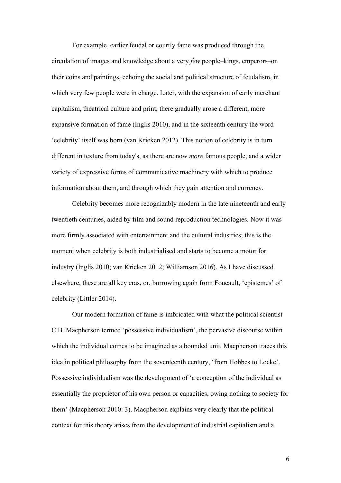For example, earlier feudal or courtly fame was produced through the circulation of images and knowledge about a very *few* people–kings, emperors–on their coins and paintings, echoing the social and political structure of feudalism, in which very few people were in charge. Later, with the expansion of early merchant capitalism, theatrical culture and print, there gradually arose a different, more expansive formation of fame (Inglis 2010), and in the sixteenth century the word 'celebrity' itself was born (van Krieken 2012). This notion of celebrity is in turn different in texture from today's, as there are now *more* famous people, and a wider variety of expressive forms of communicative machinery with which to produce information about them, and through which they gain attention and currency.

Celebrity becomes more recognizably modern in the late nineteenth and early twentieth centuries, aided by film and sound reproduction technologies. Now it was more firmly associated with entertainment and the cultural industries; this is the moment when celebrity is both industrialised and starts to become a motor for industry (Inglis 2010; van Krieken 2012; Williamson 2016). As I have discussed elsewhere, these are all key eras, or, borrowing again from Foucault, 'epistemes' of celebrity (Littler 2014).

Our modern formation of fame is imbricated with what the political scientist C.B. Macpherson termed 'possessive individualism', the pervasive discourse within which the individual comes to be imagined as a bounded unit. Macpherson traces this idea in political philosophy from the seventeenth century, 'from Hobbes to Locke'. Possessive individualism was the development of 'a conception of the individual as essentially the proprietor of his own person or capacities, owing nothing to society for them' (Macpherson 2010: 3). Macpherson explains very clearly that the political context for this theory arises from the development of industrial capitalism and a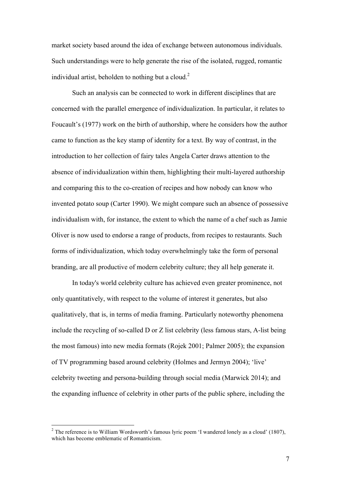market society based around the idea of exchange between autonomous individuals. Such understandings were to help generate the rise of the isolated, rugged, romantic individual artist, beholden to nothing but a cloud.<sup>2</sup>

Such an analysis can be connected to work in different disciplines that are concerned with the parallel emergence of individualization. In particular, it relates to Foucault's (1977) work on the birth of authorship, where he considers how the author came to function as the key stamp of identity for a text. By way of contrast, in the introduction to her collection of fairy tales Angela Carter draws attention to the absence of individualization within them, highlighting their multi-layered authorship and comparing this to the co-creation of recipes and how nobody can know who invented potato soup (Carter 1990). We might compare such an absence of possessive individualism with, for instance, the extent to which the name of a chef such as Jamie Oliver is now used to endorse a range of products, from recipes to restaurants. Such forms of individualization, which today overwhelmingly take the form of personal branding, are all productive of modern celebrity culture; they all help generate it.

In today's world celebrity culture has achieved even greater prominence, not only quantitatively, with respect to the volume of interest it generates, but also qualitatively, that is, in terms of media framing. Particularly noteworthy phenomena include the recycling of so-called D or Z list celebrity (less famous stars, A-list being the most famous) into new media formats (Rojek 2001; Palmer 2005); the expansion of TV programming based around celebrity (Holmes and Jermyn 2004); 'live' celebrity tweeting and persona-building through social media (Marwick 2014); and the expanding influence of celebrity in other parts of the public sphere, including the

 $2$  The reference is to William Wordsworth's famous lyric poem 'I wandered lonely as a cloud' (1807), which has become emblematic of Romanticism.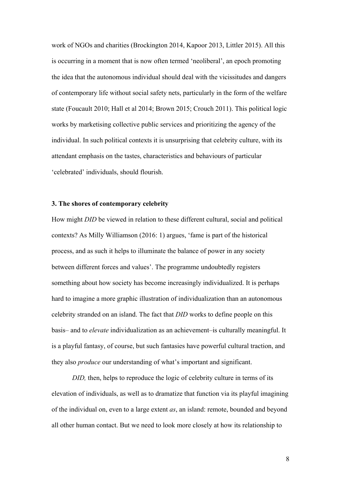work of NGOs and charities (Brockington 2014, Kapoor 2013, Littler 2015). All this is occurring in a moment that is now often termed 'neoliberal', an epoch promoting the idea that the autonomous individual should deal with the vicissitudes and dangers of contemporary life without social safety nets, particularly in the form of the welfare state (Foucault 2010; Hall et al 2014; Brown 2015; Crouch 2011). This political logic works by marketising collective public services and prioritizing the agency of the individual. In such political contexts it is unsurprising that celebrity culture, with its attendant emphasis on the tastes, characteristics and behaviours of particular 'celebrated' individuals, should flourish.

# **3. The shores of contemporary celebrity**

How might *DID* be viewed in relation to these different cultural, social and political contexts? As Milly Williamson (2016: 1) argues, 'fame is part of the historical process, and as such it helps to illuminate the balance of power in any society between different forces and values'. The programme undoubtedly registers something about how society has become increasingly individualized. It is perhaps hard to imagine a more graphic illustration of individualization than an autonomous celebrity stranded on an island. The fact that *DID* works to define people on this basis– and to *elevate* individualization as an achievement–is culturally meaningful. It is a playful fantasy, of course, but such fantasies have powerful cultural traction, and they also *produce* our understanding of what's important and significant.

*DID*, then, helps to reproduce the logic of celebrity culture in terms of its elevation of individuals, as well as to dramatize that function via its playful imagining of the individual on, even to a large extent *as*, an island: remote, bounded and beyond all other human contact. But we need to look more closely at how its relationship to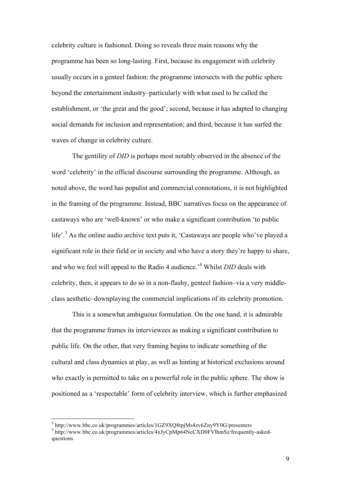celebrity culture is fashioned. Doing so reveals three main reasons why the programme has been so long-lasting. First, because its engagement with celebrity usually occurs in a genteel fashion: the programme intersects with the public sphere beyond the entertainment industry–particularly with what used to be called the establishment, or 'the great and the good'; second, because it has adapted to changing social demands for inclusion and representation; and third, because it has surfed the waves of change in celebrity culture.

The gentility of *DID* is perhaps most notably observed in the absence of the word 'celebrity' in the official discourse surrounding the programme. Although, as noted above, the word has populist and commercial connotations, it is not highlighted in the framing of the programme. Instead, BBC narratives focus on the appearance of castaways who are 'well-known' or who make a significant contribution 'to public life'.<sup>3</sup> As the online audio archive text puts it, 'Castaways are people who've played a significant role in their field or in society and who have a story they're happy to share, and who we feel will appeal to the Radio 4 audience.'<sup>4</sup> Whilst *DID* deals with celebrity, then, it appears to do so in a non-flashy, genteel fashion–via a very middleclass aesthetic–downplaying the commercial implications of its celebrity promotion.

This is a somewhat ambiguous formulation. On the one hand, it is admirable that the programme frames its interviewees as making a significant contribution to public life. On the other, that very framing begins to indicate something of the cultural and class dynamics at play, as well as hinting at historical exclusions around who exactly is permitted to take on a powerful role in the public sphere. The show is positioned as a 'respectable' form of celebrity interview, which is further emphasized

 <sup>3</sup> http://www.bbc.co.uk/programmes/articles/1GZ9XQ8tpjMs4zv6Zny9Y0G/presenters

<sup>4</sup> http://www.bbc.co.uk/programmes/articles/4xJyCpMp64NcCXD0FVlhmSz/frequently-askedquestions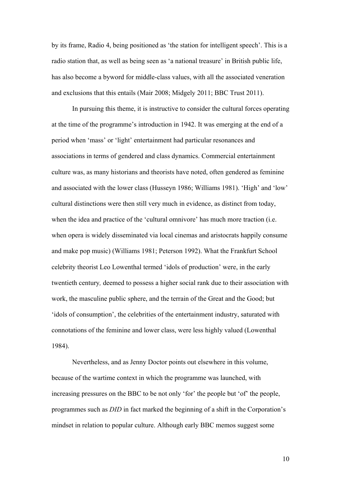by its frame, Radio 4, being positioned as 'the station for intelligent speech'. This is a radio station that, as well as being seen as 'a national treasure' in British public life, has also become a byword for middle-class values, with all the associated veneration and exclusions that this entails (Mair 2008; Midgely 2011; BBC Trust 2011).

In pursuing this theme, it is instructive to consider the cultural forces operating at the time of the programme's introduction in 1942. It was emerging at the end of a period when 'mass' or 'light' entertainment had particular resonances and associations in terms of gendered and class dynamics. Commercial entertainment culture was, as many historians and theorists have noted, often gendered as feminine and associated with the lower class (Husseyn 1986; Williams 1981). 'High' and 'low' cultural distinctions were then still very much in evidence, as distinct from today, when the idea and practice of the 'cultural omnivore' has much more traction (i.e. when opera is widely disseminated via local cinemas and aristocrats happily consume and make pop music) (Williams 1981; Peterson 1992). What the Frankfurt School celebrity theorist Leo Lowenthal termed 'idols of production' were, in the early twentieth century*,* deemed to possess a higher social rank due to their association with work, the masculine public sphere, and the terrain of the Great and the Good; but 'idols of consumption', the celebrities of the entertainment industry, saturated with connotations of the feminine and lower class, were less highly valued (Lowenthal 1984).

Nevertheless, and as Jenny Doctor points out elsewhere in this volume, because of the wartime context in which the programme was launched, with increasing pressures on the BBC to be not only 'for' the people but 'of' the people, programmes such as *DID* in fact marked the beginning of a shift in the Corporation's mindset in relation to popular culture. Although early BBC memos suggest some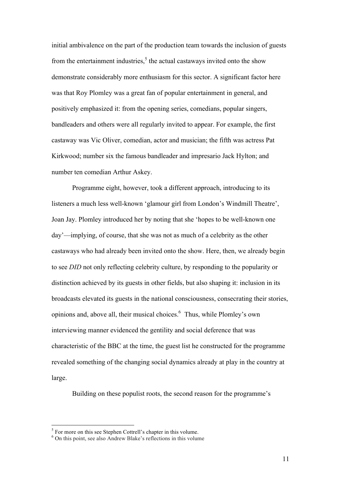initial ambivalence on the part of the production team towards the inclusion of guests from the entertainment industries.<sup>5</sup> the actual castaways invited onto the show demonstrate considerably more enthusiasm for this sector. A significant factor here was that Roy Plomley was a great fan of popular entertainment in general, and positively emphasized it: from the opening series, comedians, popular singers, bandleaders and others were all regularly invited to appear. For example, the first castaway was Vic Oliver, comedian, actor and musician; the fifth was actress Pat Kirkwood; number six the famous bandleader and impresario Jack Hylton; and number ten comedian Arthur Askey.

Programme eight, however, took a different approach, introducing to its listeners a much less well-known 'glamour girl from London's Windmill Theatre', Joan Jay. Plomley introduced her by noting that she 'hopes to be well-known one day'—implying, of course, that she was not as much of a celebrity as the other castaways who had already been invited onto the show. Here, then, we already begin to see *DID* not only reflecting celebrity culture, by responding to the popularity or distinction achieved by its guests in other fields, but also shaping it: inclusion in its broadcasts elevated its guests in the national consciousness, consecrating their stories, opinions and, above all, their musical choices.6 Thus, while Plomley's own interviewing manner evidenced the gentility and social deference that was characteristic of the BBC at the time, the guest list he constructed for the programme revealed something of the changing social dynamics already at play in the country at large.

Building on these populist roots, the second reason for the programme's

 $\frac{5}{5}$  For more on this see Stephen Cottrell's chapter in this volume.

<sup>6</sup> On this point, see also Andrew Blake's reflections in this volume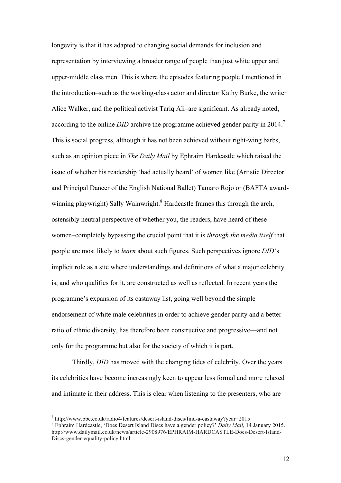longevity is that it has adapted to changing social demands for inclusion and representation by interviewing a broader range of people than just white upper and upper-middle class men. This is where the episodes featuring people I mentioned in the introduction–such as the working-class actor and director Kathy Burke, the writer Alice Walker, and the political activist Tariq Ali–are significant. As already noted, according to the online *DID* archive the programme achieved gender parity in 2014.7 This is social progress, although it has not been achieved without right-wing barbs, such as an opinion piece in *The Daily Mail* by Ephraim Hardcastle which raised the issue of whether his readership 'had actually heard' of women like (Artistic Director and Principal Dancer of the English National Ballet) Tamaro Rojo or (BAFTA awardwinning playwright) Sally Wainwright.<sup>8</sup> Hardcastle frames this through the arch, ostensibly neutral perspective of whether you, the readers, have heard of these women–completely bypassing the crucial point that it is *through the media itself* that people are most likely to *learn* about such figures. Such perspectives ignore *DID*'s implicit role as a site where understandings and definitions of what a major celebrity is, and who qualifies for it, are constructed as well as reflected. In recent years the programme's expansion of its castaway list, going well beyond the simple endorsement of white male celebrities in order to achieve gender parity and a better ratio of ethnic diversity, has therefore been constructive and progressive—and not only for the programme but also for the society of which it is part.

Thirdly, *DID* has moved with the changing tides of celebrity. Over the years its celebrities have become increasingly keen to appear less formal and more relaxed and intimate in their address. This is clear when listening to the presenters, who are

<sup>7</sup> http://www.bbc.co.uk/radio4/features/desert-island-discs/find-a-castaway?year=2015 <sup>8</sup> Ephraim Hardcastle, 'Does Desert Island Discs have a gender policy?' *Daily Mail*, 14 January 2015. http://www.dailymail.co.uk/news/article-2908976/EPHRAIM-HARDCASTLE-Does-Desert-Island-Discs-gender-equality-policy.html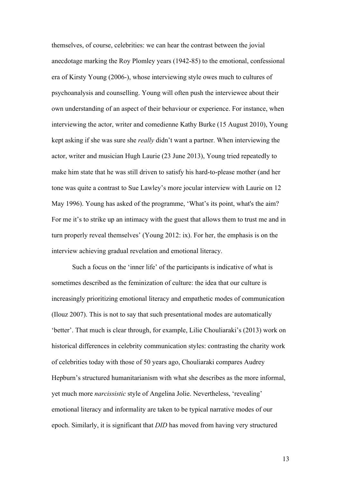themselves, of course, celebrities: we can hear the contrast between the jovial anecdotage marking the Roy Plomley years (1942-85) to the emotional, confessional era of Kirsty Young (2006-), whose interviewing style owes much to cultures of psychoanalysis and counselling. Young will often push the interviewee about their own understanding of an aspect of their behaviour or experience. For instance, when interviewing the actor, writer and comedienne Kathy Burke (15 August 2010), Young kept asking if she was sure she *really* didn't want a partner. When interviewing the actor, writer and musician Hugh Laurie (23 June 2013), Young tried repeatedly to make him state that he was still driven to satisfy his hard-to-please mother (and her tone was quite a contrast to Sue Lawley's more jocular interview with Laurie on 12 May 1996). Young has asked of the programme, 'What's its point, what's the aim? For me it's to strike up an intimacy with the guest that allows them to trust me and in turn properly reveal themselves' (Young 2012: ix). For her, the emphasis is on the interview achieving gradual revelation and emotional literacy.

Such a focus on the 'inner life' of the participants is indicative of what is sometimes described as the feminization of culture: the idea that our culture is increasingly prioritizing emotional literacy and empathetic modes of communication (Ilouz 2007). This is not to say that such presentational modes are automatically 'better'. That much is clear through, for example, Lilie Chouliaraki's (2013) work on historical differences in celebrity communication styles: contrasting the charity work of celebrities today with those of 50 years ago, Chouliaraki compares Audrey Hepburn's structured humanitarianism with what she describes as the more informal, yet much more *narcissistic* style of Angelina Jolie. Nevertheless, 'revealing' emotional literacy and informality are taken to be typical narrative modes of our epoch. Similarly, it is significant that *DID* has moved from having very structured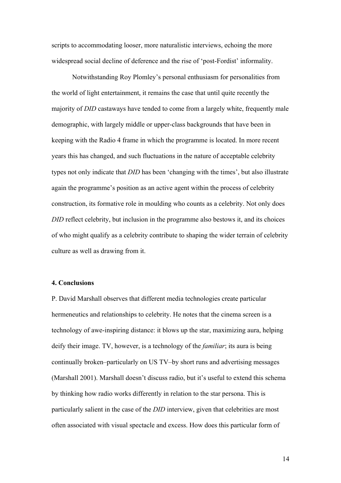scripts to accommodating looser, more naturalistic interviews, echoing the more widespread social decline of deference and the rise of 'post-Fordist' informality.

Notwithstanding Roy Plomley's personal enthusiasm for personalities from the world of light entertainment, it remains the case that until quite recently the majority of *DID* castaways have tended to come from a largely white, frequently male demographic, with largely middle or upper-class backgrounds that have been in keeping with the Radio 4 frame in which the programme is located. In more recent years this has changed, and such fluctuations in the nature of acceptable celebrity types not only indicate that *DID* has been 'changing with the times', but also illustrate again the programme's position as an active agent within the process of celebrity construction, its formative role in moulding who counts as a celebrity. Not only does *DID* reflect celebrity, but inclusion in the programme also bestows it, and its choices of who might qualify as a celebrity contribute to shaping the wider terrain of celebrity culture as well as drawing from it.

#### **4. Conclusions**

P. David Marshall observes that different media technologies create particular hermeneutics and relationships to celebrity. He notes that the cinema screen is a technology of awe-inspiring distance: it blows up the star, maximizing aura, helping deify their image. TV, however, is a technology of the *familiar*; its aura is being continually broken–particularly on US TV–by short runs and advertising messages (Marshall 2001). Marshall doesn't discuss radio, but it's useful to extend this schema by thinking how radio works differently in relation to the star persona. This is particularly salient in the case of the *DID* interview, given that celebrities are most often associated with visual spectacle and excess. How does this particular form of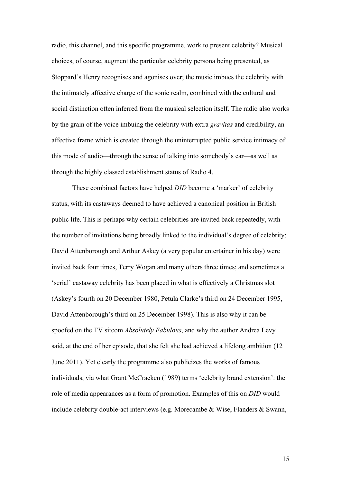radio, this channel, and this specific programme, work to present celebrity? Musical choices, of course, augment the particular celebrity persona being presented, as Stoppard's Henry recognises and agonises over; the music imbues the celebrity with the intimately affective charge of the sonic realm, combined with the cultural and social distinction often inferred from the musical selection itself. The radio also works by the grain of the voice imbuing the celebrity with extra *gravitas* and credibility, an affective frame which is created through the uninterrupted public service intimacy of this mode of audio—through the sense of talking into somebody's ear—as well as through the highly classed establishment status of Radio 4.

These combined factors have helped *DID* become a 'marker' of celebrity status, with its castaways deemed to have achieved a canonical position in British public life. This is perhaps why certain celebrities are invited back repeatedly, with the number of invitations being broadly linked to the individual's degree of celebrity: David Attenborough and Arthur Askey (a very popular entertainer in his day) were invited back four times, Terry Wogan and many others three times; and sometimes a 'serial' castaway celebrity has been placed in what is effectively a Christmas slot (Askey's fourth on 20 December 1980, Petula Clarke's third on 24 December 1995, David Attenborough's third on 25 December 1998). This is also why it can be spoofed on the TV sitcom *Absolutely Fabulous*, and why the author Andrea Levy said, at the end of her episode, that she felt she had achieved a lifelong ambition (12 June 2011). Yet clearly the programme also publicizes the works of famous individuals, via what Grant McCracken (1989) terms 'celebrity brand extension': the role of media appearances as a form of promotion. Examples of this on *DID* would include celebrity double-act interviews (e.g. Morecambe & Wise, Flanders & Swann,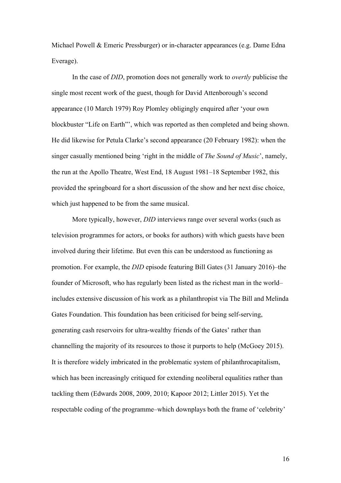Michael Powell & Emeric Pressburger) or in-character appearances (e.g. Dame Edna Everage).

In the case of *DID*, promotion does not generally work to *overtly* publicise the single most recent work of the guest, though for David Attenborough's second appearance (10 March 1979) Roy Plomley obligingly enquired after 'your own blockbuster "Life on Earth"', which was reported as then completed and being shown. He did likewise for Petula Clarke's second appearance (20 February 1982): when the singer casually mentioned being 'right in the middle of *The Sound of Music*', namely, the run at the Apollo Theatre, West End, 18 August 1981–18 September 1982, this provided the springboard for a short discussion of the show and her next disc choice, which just happened to be from the same musical.

More typically, however, *DID* interviews range over several works (such as television programmes for actors, or books for authors) with which guests have been involved during their lifetime. But even this can be understood as functioning as promotion. For example, the *DID* episode featuring Bill Gates (31 January 2016)–the founder of Microsoft, who has regularly been listed as the richest man in the world– includes extensive discussion of his work as a philanthropist via The Bill and Melinda Gates Foundation. This foundation has been criticised for being self-serving, generating cash reservoirs for ultra-wealthy friends of the Gates' rather than channelling the majority of its resources to those it purports to help (McGoey 2015). It is therefore widely imbricated in the problematic system of philanthrocapitalism, which has been increasingly critiqued for extending neoliberal equalities rather than tackling them (Edwards 2008, 2009, 2010; Kapoor 2012; Littler 2015). Yet the respectable coding of the programme–which downplays both the frame of 'celebrity'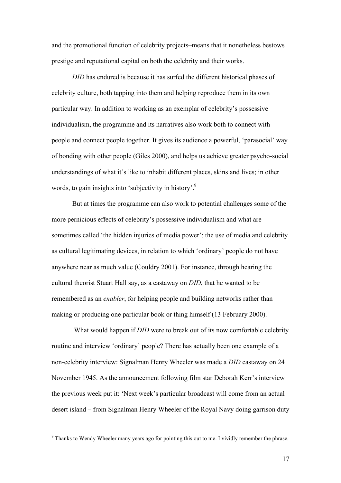and the promotional function of celebrity projects–means that it nonetheless bestows prestige and reputational capital on both the celebrity and their works.

*DID* has endured is because it has surfed the different historical phases of celebrity culture, both tapping into them and helping reproduce them in its own particular way. In addition to working as an exemplar of celebrity's possessive individualism, the programme and its narratives also work both to connect with people and connect people together. It gives its audience a powerful, 'parasocial' way of bonding with other people (Giles 2000), and helps us achieve greater psycho-social understandings of what it's like to inhabit different places, skins and lives; in other words, to gain insights into 'subjectivity in history'.<sup>9</sup>

But at times the programme can also work to potential challenges some of the more pernicious effects of celebrity's possessive individualism and what are sometimes called 'the hidden injuries of media power': the use of media and celebrity as cultural legitimating devices, in relation to which 'ordinary' people do not have anywhere near as much value (Couldry 2001). For instance, through hearing the cultural theorist Stuart Hall say, as a castaway on *DID*, that he wanted to be remembered as an *enabler*, for helping people and building networks rather than making or producing one particular book or thing himself (13 February 2000).

What would happen if *DID* were to break out of its now comfortable celebrity routine and interview 'ordinary' people? There has actually been one example of a non-celebrity interview: Signalman Henry Wheeler was made a *DID* castaway on 24 November 1945. As the announcement following film star Deborah Kerr's interview the previous week put it: 'Next week's particular broadcast will come from an actual desert island – from Signalman Henry Wheeler of the Royal Navy doing garrison duty

<sup>&</sup>lt;sup>9</sup> Thanks to Wendy Wheeler many years ago for pointing this out to me. I vividly remember the phrase.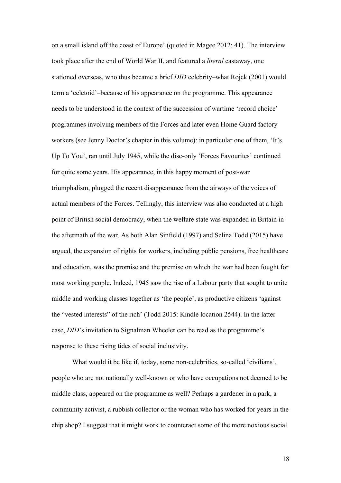on a small island off the coast of Europe' (quoted in Magee 2012: 41). The interview took place after the end of World War II, and featured a *literal* castaway, one stationed overseas, who thus became a brief *DID* celebrity–what Rojek (2001) would term a 'celetoid'–because of his appearance on the programme. This appearance needs to be understood in the context of the succession of wartime 'record choice' programmes involving members of the Forces and later even Home Guard factory workers (see Jenny Doctor's chapter in this volume): in particular one of them, 'It's Up To You', ran until July 1945, while the disc-only 'Forces Favourites' continued for quite some years. His appearance, in this happy moment of post-war triumphalism, plugged the recent disappearance from the airways of the voices of actual members of the Forces. Tellingly, this interview was also conducted at a high point of British social democracy, when the welfare state was expanded in Britain in the aftermath of the war. As both Alan Sinfield (1997) and Selina Todd (2015) have argued, the expansion of rights for workers, including public pensions, free healthcare and education, was the promise and the premise on which the war had been fought for most working people. Indeed, 1945 saw the rise of a Labour party that sought to unite middle and working classes together as 'the people', as productive citizens 'against the "vested interests" of the rich' (Todd 2015: Kindle location 2544). In the latter case, *DID*'s invitation to Signalman Wheeler can be read as the programme's response to these rising tides of social inclusivity.

What would it be like if, today, some non-celebrities, so-called 'civilians', people who are not nationally well-known or who have occupations not deemed to be middle class, appeared on the programme as well? Perhaps a gardener in a park, a community activist, a rubbish collector or the woman who has worked for years in the chip shop? I suggest that it might work to counteract some of the more noxious social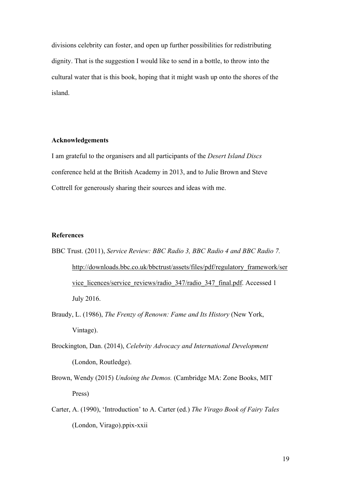divisions celebrity can foster, and open up further possibilities for redistributing dignity. That is the suggestion I would like to send in a bottle, to throw into the cultural water that is this book, hoping that it might wash up onto the shores of the island.

#### **Acknowledgements**

I am grateful to the organisers and all participants of the *Desert Island Discs* conference held at the British Academy in 2013, and to Julie Brown and Steve Cottrell for generously sharing their sources and ideas with me.

# **References**

- BBC Trust. (2011), *Service Review: BBC Radio 3, BBC Radio 4 and BBC Radio 7.* http://downloads.bbc.co.uk/bbctrust/assets/files/pdf/regulatory\_framework/ser vice\_licences/service\_reviews/radio\_347/radio\_347\_final.pdf. Accessed 1 July 2016.
- Braudy, L. (1986), *The Frenzy of Renown: Fame and Its History* (New York, Vintage).
- Brockington, Dan. (2014), *Celebrity Advocacy and International Development* (London, Routledge).
- Brown, Wendy (2015) *Undoing the Demos.* (Cambridge MA: Zone Books, MIT Press)
- Carter, A. (1990), 'Introduction' to A. Carter (ed.) *The Virago Book of Fairy Tales* (London, Virago).ppix-xxii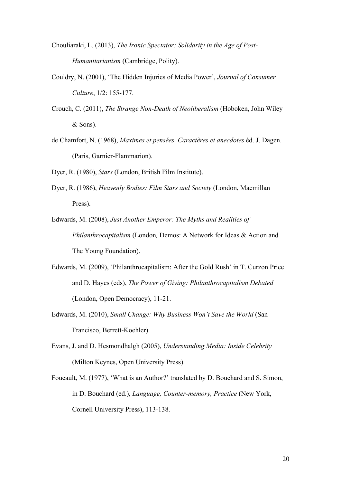- Chouliaraki, L. (2013), *The Ironic Spectator: Solidarity in the Age of Post-Humanitarianism* (Cambridge, Polity).
- Couldry, N. (2001), 'The Hidden Injuries of Media Power', *Journal of Consumer Culture*, 1/2: 155-177.
- Crouch, C. (2011), *The Strange Non-Death of Neoliberalism* (Hoboken, John Wiley & Sons).
- de Chamfort, N. (1968), *Maximes et pensées. Caractères et anecdotes* éd. J. Dagen. (Paris, Garnier-Flammarion).
- Dyer, R. (1980), *Stars* (London, British Film Institute).
- Dyer, R. (1986), *Heavenly Bodies: Film Stars and Society* (London, Macmillan Press).
- Edwards, M. (2008), *Just Another Emperor: The Myths and Realities of Philanthrocapitalism* (London*,* Demos: A Network for Ideas & Action and The Young Foundation).
- Edwards, M. (2009), 'Philanthrocapitalism: After the Gold Rush' in T. Curzon Price and D. Hayes (eds), *The Power of Giving: Philanthrocapitalism Debated*  (London, Open Democracy), 11-21.
- Edwards, M. (2010), *Small Change: Why Business Won't Save the World* (San Francisco, Berrett-Koehler).
- Evans, J. and D. Hesmondhalgh (2005), *Understanding Media: Inside Celebrity*  (Milton Keynes, Open University Press).
- Foucault, M. (1977), 'What is an Author?' translated by D. Bouchard and S. Simon, in D. Bouchard (ed.), *Language, Counter-memory, Practice* (New York, Cornell University Press), 113-138.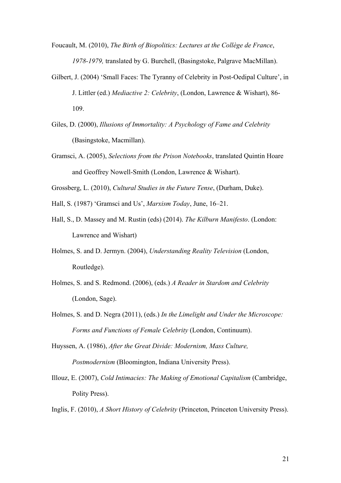- Foucault, M. (2010), *The Birth of Biopolitics: Lectures at the Collège de France*, *1978-1979,* translated by G. Burchell, (Basingstoke, Palgrave MacMillan).
- Gilbert, J. (2004) 'Small Faces: The Tyranny of Celebrity in Post-Oedipal Culture', in J. Littler (ed.) *Mediactive 2: Celebrity*, (London, Lawrence & Wishart), 86- 109.
- Giles, D. (2000), *Illusions of Immortality: A Psychology of Fame and Celebrity* (Basingstoke, Macmillan).
- Gramsci, A. (2005), *Selections from the Prison Notebooks*, translated Quintin Hoare and Geoffrey Nowell-Smith (London, Lawrence & Wishart).

Grossberg, L. (2010), *Cultural Studies in the Future Tense*, (Durham, Duke).

- Hall, S. (1987) 'Gramsci and Us', *Marxism Today*, June, 16–21.
- Hall, S., D. Massey and M. Rustin (eds) (2014). *The Kilburn Manifesto*. (London: Lawrence and Wishart)
- Holmes, S. and D. Jermyn. (2004), *Understanding Reality Television* (London, Routledge).
- Holmes, S. and S. Redmond. (2006), (eds.) *A Reader in Stardom and Celebrity* (London, Sage).
- Holmes, S. and D. Negra (2011), (eds.) *In the Limelight and Under the Microscope: Forms and Functions of Female Celebrity* (London, Continuum).
- Huyssen, A. (1986), *After the Great Divide: Modernism, Mass Culture, Postmodernism* (Bloomington, Indiana University Press).
- Illouz, E. (2007), *Cold Intimacies: The Making of Emotional Capitalism* (Cambridge, Polity Press).
- Inglis, F. (2010), *A Short History of Celebrity* (Princeton, Princeton University Press).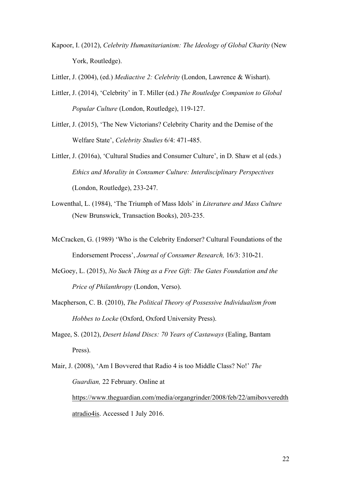Kapoor, I. (2012), *Celebrity Humanitarianism: The Ideology of Global Charity* (New York, Routledge).

Littler, J. (2004), (ed.) *Mediactive 2: Celebrity* (London, Lawrence & Wishart).

- Littler, J. (2014), 'Celebrity' in T. Miller (ed.) *The Routledge Companion to Global Popular Culture* (London, Routledge), 119-127.
- Littler, J. (2015), 'The New Victorians? Celebrity Charity and the Demise of the Welfare State', *Celebrity Studies* 6/4: 471-485.
- Littler, J. (2016a), 'Cultural Studies and Consumer Culture', in D. Shaw et al (eds.) *Ethics and Morality in Consumer Culture: Interdisciplinary Perspectives* (London, Routledge), 233-247.
- Lowenthal, L. (1984), 'The Triumph of Mass Idols' in *Literature and Mass Culture* (New Brunswick, Transaction Books), 203-235.
- McCracken, G. (1989) 'Who is the Celebrity Endorser? Cultural Foundations of the Endorsement Process', *Journal of Consumer Research,* 16/3: 310**-**21.
- McGoey, L. (2015), *No Such Thing as a Free Gift: The Gates Foundation and the Price of Philanthropy* (London, Verso).
- Macpherson, C. B. (2010), *The Political Theory of Possessive Individualism from Hobbes to Locke* (Oxford, Oxford University Press).
- Magee, S. (2012), *Desert Island Discs: 70 Years of Castaways* (Ealing, Bantam Press).
- Mair, J. (2008), 'Am I Bovvered that Radio 4 is too Middle Class? No!' *The Guardian,* 22 February. Online at https://www.theguardian.com/media/organgrinder/2008/feb/22/amibovveredth atradio4is. Accessed 1 July 2016.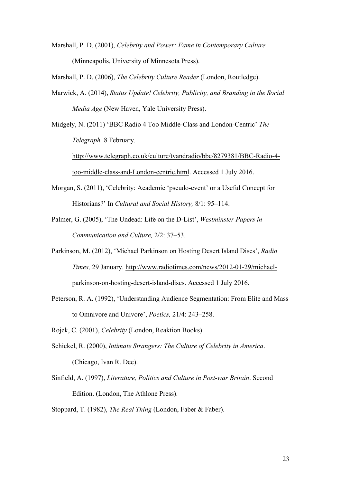Marshall, P. D. (2001), *Celebrity and Power: Fame in Contemporary Culture* (Minneapolis, University of Minnesota Press).

Marshall, P. D. (2006), *The Celebrity Culture Reader* (London, Routledge).

Marwick, A. (2014), *Status Update! Celebrity, Publicity, and Branding in the Social Media Age* (New Haven, Yale University Press).

Midgely, N. (2011) 'BBC Radio 4 Too Middle-Class and London-Centric' *The Telegraph,* 8 February.

http://www.telegraph.co.uk/culture/tvandradio/bbc/8279381/BBC-Radio-4 too-middle-class-and-London-centric.html. Accessed 1 July 2016.

- Morgan, S. (2011), 'Celebrity: Academic 'pseudo-event' or a Useful Concept for Historians?' In *Cultural and Social History,* 8/1: 95–114.
- Palmer, G. (2005), 'The Undead: Life on the D-List', *Westminster Papers in Communication and Culture,* 2/2: 37–53.
- Parkinson, M. (2012), 'Michael Parkinson on Hosting Desert Island Discs', *Radio Times,* 29 January. http://www.radiotimes.com/news/2012-01-29/michaelparkinson-on-hosting-desert-island-discs. Accessed 1 July 2016.
- Peterson, R. A. (1992), 'Understanding Audience Segmentation: From Elite and Mass to Omnivore and Univore', *Poetics,* 21/4: 243–258.

Rojek, C. (2001), *Celebrity* (London, Reaktion Books).

- Schickel, R. (2000), *Intimate Strangers: The Culture of Celebrity in America*. (Chicago, Ivan R. Dee).
- Sinfield, A. (1997), *Literature, Politics and Culture in Post-war Britain*. Second Edition. (London, The Athlone Press).

Stoppard, T. (1982), *The Real Thing* (London, Faber & Faber).